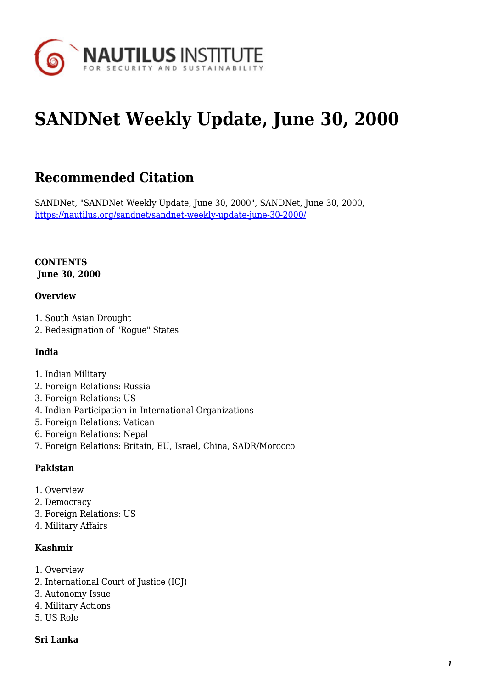

# **SANDNet Weekly Update, June 30, 2000**

# **Recommended Citation**

SANDNet, "SANDNet Weekly Update, June 30, 2000", SANDNet, June 30, 2000, <https://nautilus.org/sandnet/sandnet-weekly-update-june-30-2000/>

#### **CONTENTS June 30, 2000**

#### **Overview**

- 1. South Asian Drought
- 2. Redesignation of "Rogue" States

#### **India**

- 1. Indian Military
- 2. Foreign Relations: Russia
- 3. Foreign Relations: US
- 4. Indian Participation in International Organizations
- 5. Foreign Relations: Vatican
- 6. Foreign Relations: Nepal
- 7. Foreign Relations: Britain, EU, Israel, China, SADR/Morocco

#### **Pakistan**

- 1. Overview
- 2. Democracy
- 3. Foreign Relations: US
- 4. Military Affairs

#### **Kashmir**

- 1. Overview
- 2. International Court of Justice (ICJ)
- 3. Autonomy Issue
- 4. Military Actions
- 5. US Role

#### **Sri Lanka**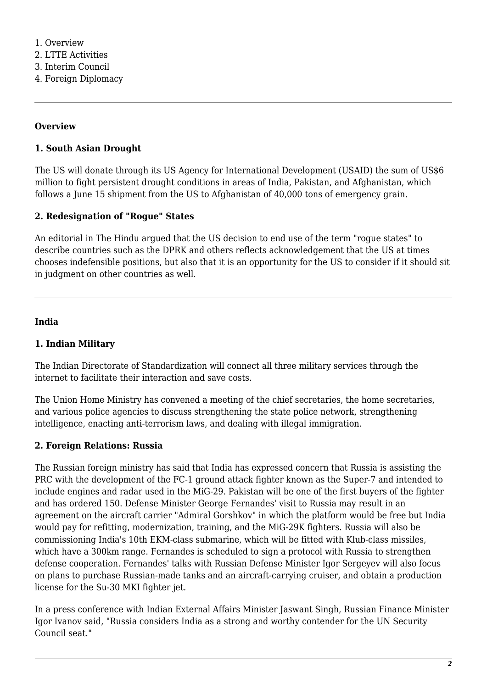#### **Overview**

#### **1. South Asian Drought**

The US will donate through its US Agency for International Development (USAID) the sum of US\$6 million to fight persistent drought conditions in areas of India, Pakistan, and Afghanistan, which follows a June 15 shipment from the US to Afghanistan of 40,000 tons of emergency grain.

#### **2. Redesignation of "Rogue" States**

An editorial in The Hindu argued that the US decision to end use of the term "rogue states" to describe countries such as the DPRK and others reflects acknowledgement that the US at times chooses indefensible positions, but also that it is an opportunity for the US to consider if it should sit in judgment on other countries as well.

#### **India**

#### **1. Indian Military**

The Indian Directorate of Standardization will connect all three military services through the internet to facilitate their interaction and save costs.

The Union Home Ministry has convened a meeting of the chief secretaries, the home secretaries, and various police agencies to discuss strengthening the state police network, strengthening intelligence, enacting anti-terrorism laws, and dealing with illegal immigration.

#### **2. Foreign Relations: Russia**

The Russian foreign ministry has said that India has expressed concern that Russia is assisting the PRC with the development of the FC-1 ground attack fighter known as the Super-7 and intended to include engines and radar used in the MiG-29. Pakistan will be one of the first buyers of the fighter and has ordered 150. Defense Minister George Fernandes' visit to Russia may result in an agreement on the aircraft carrier "Admiral Gorshkov" in which the platform would be free but India would pay for refitting, modernization, training, and the MiG-29K fighters. Russia will also be commissioning India's 10th EKM-class submarine, which will be fitted with Klub-class missiles, which have a 300km range. Fernandes is scheduled to sign a protocol with Russia to strengthen defense cooperation. Fernandes' talks with Russian Defense Minister Igor Sergeyev will also focus on plans to purchase Russian-made tanks and an aircraft-carrying cruiser, and obtain a production license for the Su-30 MKI fighter jet.

In a press conference with Indian External Affairs Minister Jaswant Singh, Russian Finance Minister Igor Ivanov said, "Russia considers India as a strong and worthy contender for the UN Security Council seat."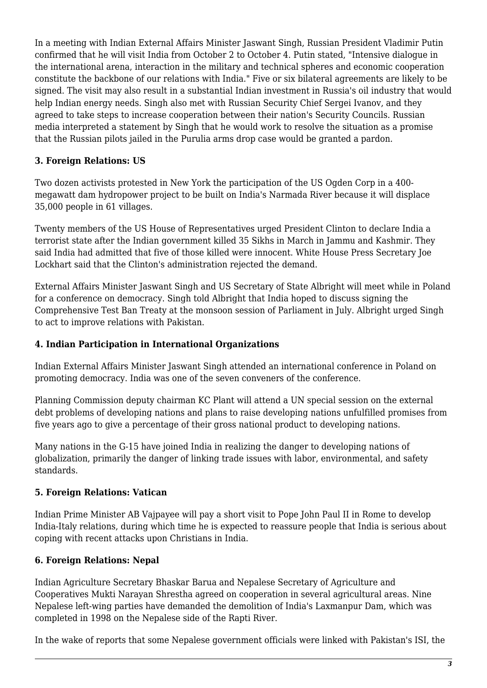In a meeting with Indian External Affairs Minister Jaswant Singh, Russian President Vladimir Putin confirmed that he will visit India from October 2 to October 4. Putin stated, "Intensive dialogue in the international arena, interaction in the military and technical spheres and economic cooperation constitute the backbone of our relations with India." Five or six bilateral agreements are likely to be signed. The visit may also result in a substantial Indian investment in Russia's oil industry that would help Indian energy needs. Singh also met with Russian Security Chief Sergei Ivanov, and they agreed to take steps to increase cooperation between their nation's Security Councils. Russian media interpreted a statement by Singh that he would work to resolve the situation as a promise that the Russian pilots jailed in the Purulia arms drop case would be granted a pardon.

# **3. Foreign Relations: US**

Two dozen activists protested in New York the participation of the US Ogden Corp in a 400 megawatt dam hydropower project to be built on India's Narmada River because it will displace 35,000 people in 61 villages.

Twenty members of the US House of Representatives urged President Clinton to declare India a terrorist state after the Indian government killed 35 Sikhs in March in Jammu and Kashmir. They said India had admitted that five of those killed were innocent. White House Press Secretary Joe Lockhart said that the Clinton's administration rejected the demand.

External Affairs Minister Jaswant Singh and US Secretary of State Albright will meet while in Poland for a conference on democracy. Singh told Albright that India hoped to discuss signing the Comprehensive Test Ban Treaty at the monsoon session of Parliament in July. Albright urged Singh to act to improve relations with Pakistan.

#### **4. Indian Participation in International Organizations**

Indian External Affairs Minister Jaswant Singh attended an international conference in Poland on promoting democracy. India was one of the seven conveners of the conference.

Planning Commission deputy chairman KC Plant will attend a UN special session on the external debt problems of developing nations and plans to raise developing nations unfulfilled promises from five years ago to give a percentage of their gross national product to developing nations.

Many nations in the G-15 have joined India in realizing the danger to developing nations of globalization, primarily the danger of linking trade issues with labor, environmental, and safety standards.

#### **5. Foreign Relations: Vatican**

Indian Prime Minister AB Vajpayee will pay a short visit to Pope John Paul II in Rome to develop India-Italy relations, during which time he is expected to reassure people that India is serious about coping with recent attacks upon Christians in India.

# **6. Foreign Relations: Nepal**

Indian Agriculture Secretary Bhaskar Barua and Nepalese Secretary of Agriculture and Cooperatives Mukti Narayan Shrestha agreed on cooperation in several agricultural areas. Nine Nepalese left-wing parties have demanded the demolition of India's Laxmanpur Dam, which was completed in 1998 on the Nepalese side of the Rapti River.

In the wake of reports that some Nepalese government officials were linked with Pakistan's ISI, the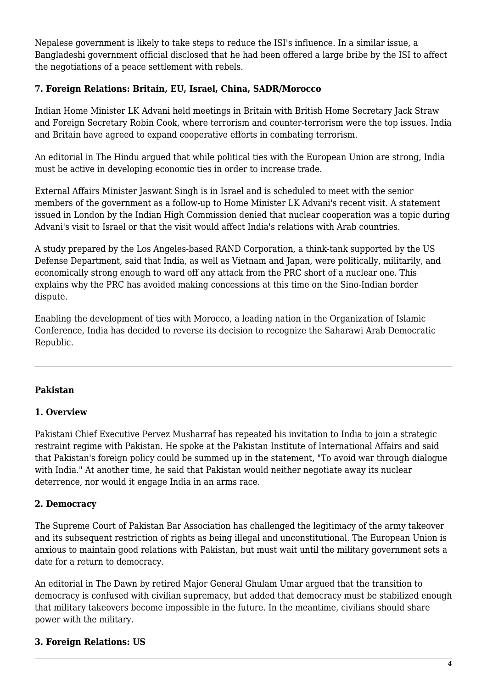Nepalese government is likely to take steps to reduce the ISI's influence. In a similar issue, a Bangladeshi government official disclosed that he had been offered a large bribe by the ISI to affect the negotiations of a peace settlement with rebels.

#### **7. Foreign Relations: Britain, EU, Israel, China, SADR/Morocco**

Indian Home Minister LK Advani held meetings in Britain with British Home Secretary Jack Straw and Foreign Secretary Robin Cook, where terrorism and counter-terrorism were the top issues. India and Britain have agreed to expand cooperative efforts in combating terrorism.

An editorial in The Hindu argued that while political ties with the European Union are strong, India must be active in developing economic ties in order to increase trade.

External Affairs Minister Jaswant Singh is in Israel and is scheduled to meet with the senior members of the government as a follow-up to Home Minister LK Advani's recent visit. A statement issued in London by the Indian High Commission denied that nuclear cooperation was a topic during Advani's visit to Israel or that the visit would affect India's relations with Arab countries.

A study prepared by the Los Angeles-based RAND Corporation, a think-tank supported by the US Defense Department, said that India, as well as Vietnam and Japan, were politically, militarily, and economically strong enough to ward off any attack from the PRC short of a nuclear one. This explains why the PRC has avoided making concessions at this time on the Sino-Indian border dispute.

Enabling the development of ties with Morocco, a leading nation in the Organization of Islamic Conference, India has decided to reverse its decision to recognize the Saharawi Arab Democratic Republic.

#### **Pakistan**

#### **1. Overview**

Pakistani Chief Executive Pervez Musharraf has repeated his invitation to India to join a strategic restraint regime with Pakistan. He spoke at the Pakistan Institute of International Affairs and said that Pakistan's foreign policy could be summed up in the statement, "To avoid war through dialogue with India." At another time, he said that Pakistan would neither negotiate away its nuclear deterrence, nor would it engage India in an arms race.

#### **2. Democracy**

The Supreme Court of Pakistan Bar Association has challenged the legitimacy of the army takeover and its subsequent restriction of rights as being illegal and unconstitutional. The European Union is anxious to maintain good relations with Pakistan, but must wait until the military government sets a date for a return to democracy.

An editorial in The Dawn by retired Major General Ghulam Umar argued that the transition to democracy is confused with civilian supremacy, but added that democracy must be stabilized enough that military takeovers become impossible in the future. In the meantime, civilians should share power with the military.

#### **3. Foreign Relations: US**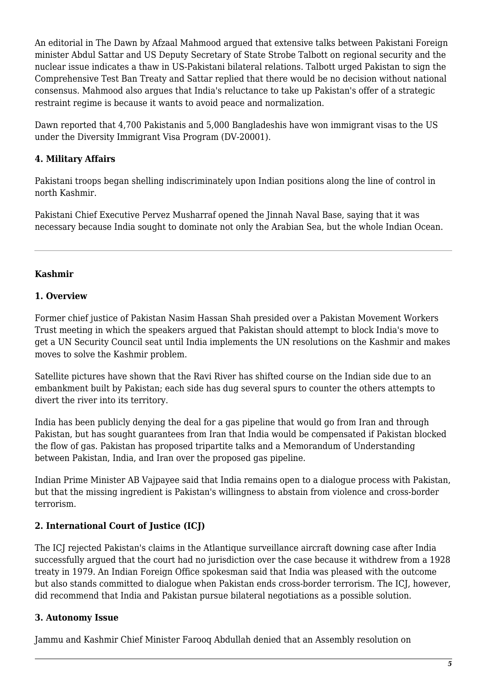An editorial in The Dawn by Afzaal Mahmood argued that extensive talks between Pakistani Foreign minister Abdul Sattar and US Deputy Secretary of State Strobe Talbott on regional security and the nuclear issue indicates a thaw in US-Pakistani bilateral relations. Talbott urged Pakistan to sign the Comprehensive Test Ban Treaty and Sattar replied that there would be no decision without national consensus. Mahmood also argues that India's reluctance to take up Pakistan's offer of a strategic restraint regime is because it wants to avoid peace and normalization.

Dawn reported that 4,700 Pakistanis and 5,000 Bangladeshis have won immigrant visas to the US under the Diversity Immigrant Visa Program (DV-20001).

# **4. Military Affairs**

Pakistani troops began shelling indiscriminately upon Indian positions along the line of control in north Kashmir.

Pakistani Chief Executive Pervez Musharraf opened the Jinnah Naval Base, saying that it was necessary because India sought to dominate not only the Arabian Sea, but the whole Indian Ocean.

# **Kashmir**

#### **1. Overview**

Former chief justice of Pakistan Nasim Hassan Shah presided over a Pakistan Movement Workers Trust meeting in which the speakers argued that Pakistan should attempt to block India's move to get a UN Security Council seat until India implements the UN resolutions on the Kashmir and makes moves to solve the Kashmir problem.

Satellite pictures have shown that the Ravi River has shifted course on the Indian side due to an embankment built by Pakistan; each side has dug several spurs to counter the others attempts to divert the river into its territory.

India has been publicly denying the deal for a gas pipeline that would go from Iran and through Pakistan, but has sought guarantees from Iran that India would be compensated if Pakistan blocked the flow of gas. Pakistan has proposed tripartite talks and a Memorandum of Understanding between Pakistan, India, and Iran over the proposed gas pipeline.

Indian Prime Minister AB Vajpayee said that India remains open to a dialogue process with Pakistan, but that the missing ingredient is Pakistan's willingness to abstain from violence and cross-border terrorism.

# **2. International Court of Justice (ICJ)**

The ICJ rejected Pakistan's claims in the Atlantique surveillance aircraft downing case after India successfully argued that the court had no jurisdiction over the case because it withdrew from a 1928 treaty in 1979. An Indian Foreign Office spokesman said that India was pleased with the outcome but also stands committed to dialogue when Pakistan ends cross-border terrorism. The ICJ, however, did recommend that India and Pakistan pursue bilateral negotiations as a possible solution.

# **3. Autonomy Issue**

Jammu and Kashmir Chief Minister Farooq Abdullah denied that an Assembly resolution on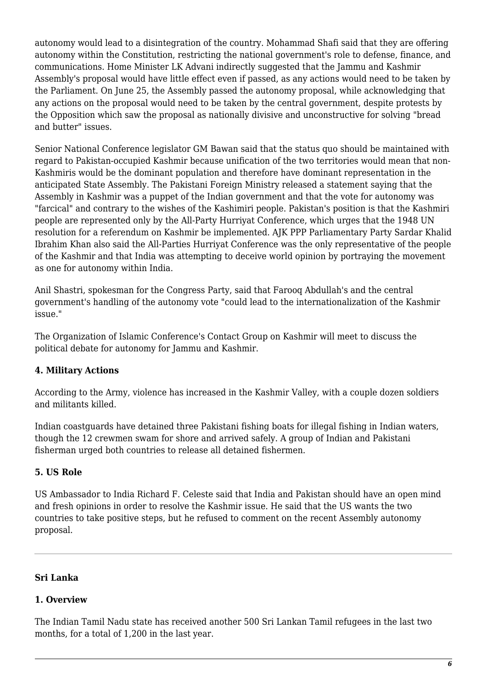autonomy would lead to a disintegration of the country. Mohammad Shafi said that they are offering autonomy within the Constitution, restricting the national government's role to defense, finance, and communications. Home Minister LK Advani indirectly suggested that the Jammu and Kashmir Assembly's proposal would have little effect even if passed, as any actions would need to be taken by the Parliament. On June 25, the Assembly passed the autonomy proposal, while acknowledging that any actions on the proposal would need to be taken by the central government, despite protests by the Opposition which saw the proposal as nationally divisive and unconstructive for solving "bread and butter" issues.

Senior National Conference legislator GM Bawan said that the status quo should be maintained with regard to Pakistan-occupied Kashmir because unification of the two territories would mean that non-Kashmiris would be the dominant population and therefore have dominant representation in the anticipated State Assembly. The Pakistani Foreign Ministry released a statement saying that the Assembly in Kashmir was a puppet of the Indian government and that the vote for autonomy was "farcical" and contrary to the wishes of the Kashimiri people. Pakistan's position is that the Kashmiri people are represented only by the All-Party Hurriyat Conference, which urges that the 1948 UN resolution for a referendum on Kashmir be implemented. AJK PPP Parliamentary Party Sardar Khalid Ibrahim Khan also said the All-Parties Hurriyat Conference was the only representative of the people of the Kashmir and that India was attempting to deceive world opinion by portraying the movement as one for autonomy within India.

Anil Shastri, spokesman for the Congress Party, said that Farooq Abdullah's and the central government's handling of the autonomy vote "could lead to the internationalization of the Kashmir issue."

The Organization of Islamic Conference's Contact Group on Kashmir will meet to discuss the political debate for autonomy for Jammu and Kashmir.

#### **4. Military Actions**

According to the Army, violence has increased in the Kashmir Valley, with a couple dozen soldiers and militants killed.

Indian coastguards have detained three Pakistani fishing boats for illegal fishing in Indian waters, though the 12 crewmen swam for shore and arrived safely. A group of Indian and Pakistani fisherman urged both countries to release all detained fishermen.

#### **5. US Role**

US Ambassador to India Richard F. Celeste said that India and Pakistan should have an open mind and fresh opinions in order to resolve the Kashmir issue. He said that the US wants the two countries to take positive steps, but he refused to comment on the recent Assembly autonomy proposal.

#### **Sri Lanka**

#### **1. Overview**

The Indian Tamil Nadu state has received another 500 Sri Lankan Tamil refugees in the last two months, for a total of 1,200 in the last year.